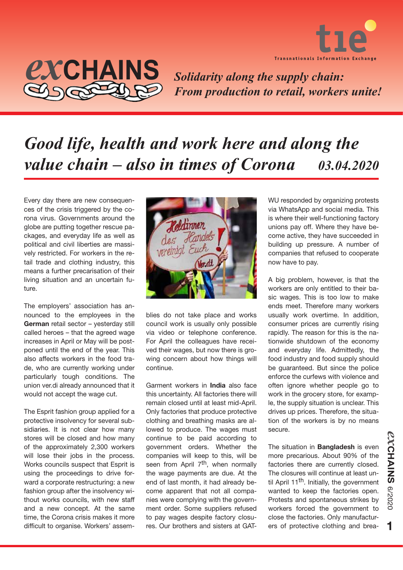



*Solidarity along the supply chain: From production to retail, workers unite!*

## *Good life, health and work here and along the value chain – also in times of Corona 03.04.2020*

Every day there are new consequences of the crisis triggered by the corona virus. Governments around the globe are putting together rescue packages, and everyday life as well as political and civil liberties are massively restricted. For workers in the retail trade and clothing industry, this means a further precarisation of their living situation and an uncertain future.

The employers' association has announced to the employees in the **German** retail sector – yesterday still called heroes – that the agreed wage increases in April or May will be postponed until the end of the year. This also affects workers in the food trade, who are currently working under particularly tough conditions. The union ver.di already announced that it would not accept the wage cut.

The Esprit fashion group applied for a protective insolvency for several subsidiaries. It is not clear how many stores will be closed and how many of the approximately 2,300 workers will lose their jobs in the process. Works councils suspect that Esprit is using the proceedings to drive forward a corporate restructuring: a new fashion group after the insolvency without works councils, with new staff and a new concept. At the same time, the Corona crisis makes it more difficult to organise. Workers' assem-



blies do not take place and works council work is usually only possible via video or telephone conference. For April the colleagues have received their wages, but now there is growing concern about how things will continue.

Garment workers in **India** also face this uncertainty. All factories there will remain closed until at least mid-April. Only factories that produce protective clothing and breathing masks are allowed to produce. The wages must continue to be paid according to government orders. Whether the companies will keep to this, will be seen from April 7<sup>th</sup>, when normally the wage payments are due. At the end of last month, it had already become apparent that not all companies were complying with the government order. Some suppliers refused to pay wages despite factory closures. Our brothers and sisters at GAT-

WU responded by organizing protests via WhatsApp and social media. This is where their well-functioning factory unions pay off. Where they have become active, they have succeeded in building up pressure. A number of companies that refused to cooperate now have to pay.

A big problem, however, is that the workers are only entitled to their basic wages. This is too low to make ends meet. Therefore many workers usually work overtime. In addition, consumer prices are currently rising rapidly. The reason for this is the nationwide shutdown of the economy and everyday life. Admittedly, the food industry and food supply should be guaranteed. But since the police enforce the curfews with violence and often ignore whether people go to work in the grocery store, for example, the supply situation is unclear. This drives up prices. Therefore, the situation of the workers is by no means secure.

The situation in **Bangladesh** is even more precarious. About 90% of the factories there are currently closed. The closures will continue at least until April 11<sup>th</sup>. Initially, the government wanted to keep the factories open. Protests and spontaneous strikes by workers forced the government to close the factories. Only manufacturers of protective clothing and brea-